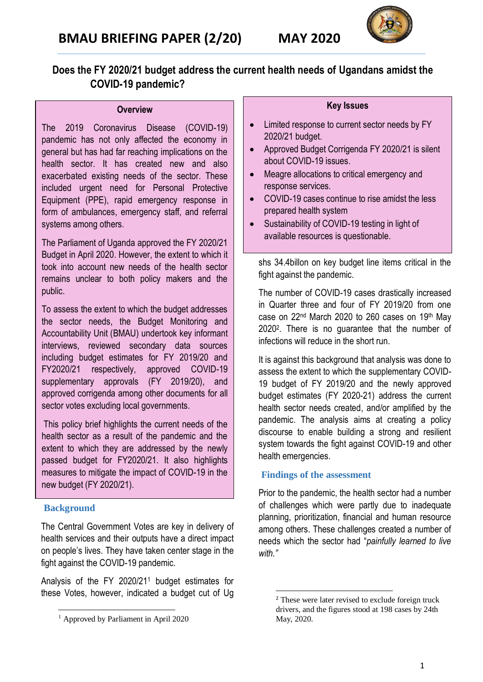

### **Does the FY 2020/21 budget address the current health needs of Ugandans amidst the COVID-19 pandemic?**

#### **Overview**

The 2019 Coronavirus Disease (COVID-19) pandemic has not only affected the economy in general but has had far reaching implications on the health sector. It has created new and also exacerbated existing needs of the sector. These included urgent need for Personal Protective Equipment (PPE), rapid emergency response in form of ambulances, emergency staff, and referral systems among others.

The Parliament of Uganda approved the FY 2020/21 Budget in April 2020. However, the extent to which it took into account new needs of the health sector remains unclear to both policy makers and the public.

To assess the extent to which the budget addresses the sector needs, the Budget Monitoring and Accountability Unit (BMAU) undertook key informant interviews, reviewed secondary data sources including budget estimates for FY 2019/20 and FY2020/21 respectively, approved COVID-19 supplementary approvals (FY 2019/20), and approved corrigenda among other documents for all sector votes excluding local governments.

This policy brief highlights the current needs of the health sector as a result of the pandemic and the extent to which they are addressed by the newly passed budget for FY2020/21. It also highlights measures to mitigate the impact of COVID-19 in the new budget (FY 2020/21).

### **Background**

The Central Government Votes are key in delivery of health services and their outputs have a direct impact on people's lives. They have taken center stage in the fight against the COVID-19 pandemic.

Analysis of the FY 2020/21<sup>1</sup> budget estimates for these Votes, however, indicated a budget cut of Ug

### **Key Issues**

- Limited response to current sector needs by FY 2020/21 budget.
- Approved Budget Corrigenda FY 2020/21 is silent about COVID-19 issues.
- Meagre allocations to critical emergency and response services.
- COVID-19 cases continue to rise amidst the less prepared health system
- Sustainability of COVID-19 testing in light of available resources is questionable.

shs 34.4billon on key budget line items critical in the fight against the pandemic.

The number of COVID-19 cases drastically increased in Quarter three and four of FY 2019/20 from one case on 22<sup>nd</sup> March 2020 to 260 cases on 19<sup>th</sup> May 2020<sup>2</sup> . There is no guarantee that the number of infections will reduce in the short run.

It is against this background that analysis was done to assess the extent to which the supplementary COVID-19 budget of FY 2019/20 and the newly approved budget estimates (FY 2020-21) address the current health sector needs created, and/or amplified by the pandemic. The analysis aims at creating a policy discourse to enable building a strong and resilient system towards the fight against COVID-19 and other health emergencies.

### **Findings of the assessment**

-

Prior to the pandemic, the health sector had a number of challenges which were partly due to inadequate planning, prioritization, financial and human resource among others. These challenges created a number of needs which the sector had "*painfully learned to live with."*

**<sup>.</sup>** <sup>1</sup> Approved by Parliament in April 2020

<sup>2</sup> These were later revised to exclude foreign truck drivers, and the figures stood at 198 cases by 24th May, 2020.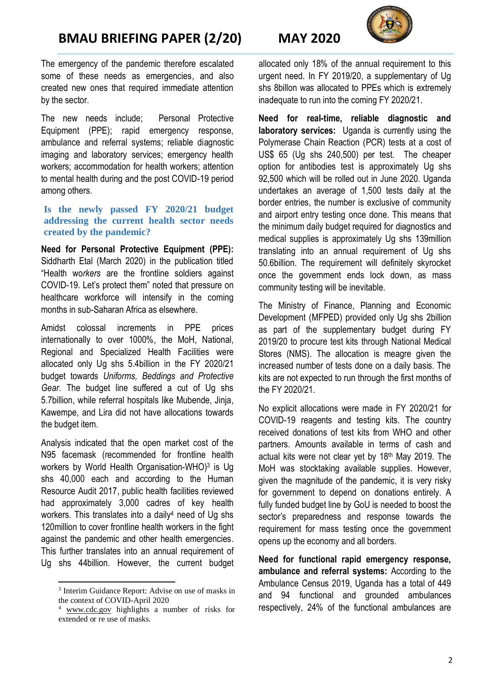## **BMAU BRIEFING PAPER (2/20) MAY 2020**



The emergency of the pandemic therefore escalated some of these needs as emergencies, and also created new ones that required immediate attention by the sector.

The new needs include; Personal Protective Equipment (PPE); rapid emergency response, ambulance and referral systems; reliable diagnostic imaging and laboratory services; emergency health workers; accommodation for health workers; attention to mental health during and the post COVID-19 period among others.

**Is the newly passed FY 2020/21 budget addressing the current health sector needs created by the pandemic?**

**Need for Personal Protective Equipment (PPE):** Siddharth Etal (March 2020) in the publication titled "Health wo*rkers* are the frontline soldiers against COVID-19. Let's protect them" noted that pressure on healthcare workforce will intensify in the coming months in sub-Saharan Africa as elsewhere.

Amidst colossal increments in PPE prices internationally to over 1000%, the MoH, National, Regional and Specialized Health Facilities were allocated only Ug shs 5.4billion in the FY 2020/21 budget towards *Uniforms, Beddings and Protective Gear.* The budget line suffered a cut of Ug shs 5.7billion, while referral hospitals like Mubende, Jinja, Kawempe, and Lira did not have allocations towards the budget item.

Analysis indicated that the open market cost of the N95 facemask (recommended for frontline health workers by World Health Organisation-WHO)<sup>3</sup> is Ug shs 40,000 each and according to the Human Resource Audit 2017, public health facilities reviewed had approximately 3,000 cadres of key health workers. This translates into a daily<sup>4</sup> need of Ug shs 120million to cover frontline health workers in the fight against the pandemic and other health emergencies. This further translates into an annual requirement of Ug shs 44billion. However, the current budget

**.** 

allocated only 18% of the annual requirement to this urgent need. In FY 2019/20, a supplementary of Ug shs 8billon was allocated to PPEs which is extremely inadequate to run into the coming FY 2020/21.

**Need for real-time, reliable diagnostic and laboratory services:** Uganda is currently using the Polymerase Chain Reaction (PCR) tests at a cost of US\$ 65 (Ug shs 240,500) per test. The cheaper option for antibodies test is approximately Ug shs 92,500 which will be rolled out in June 2020. Uganda undertakes an average of 1,500 tests daily at the border entries, the number is exclusive of community and airport entry testing once done. This means that the minimum daily budget required for diagnostics and medical supplies is approximately Ug shs 139million translating into an annual requirement of Ug shs 50.6billion. The requirement will definitely skyrocket once the government ends lock down, as mass community testing will be inevitable.

The Ministry of Finance, Planning and Economic Development (MFPED) provided only Ug shs 2billion as part of the supplementary budget during FY 2019/20 to procure test kits through National Medical Stores (NMS). The allocation is meagre given the increased number of tests done on a daily basis. The kits are not expected to run through the first months of the FY 2020/21.

No explicit allocations were made in FY 2020/21 for COVID-19 reagents and testing kits. The country received donations of test kits from WHO and other partners. Amounts available in terms of cash and actual kits were not clear yet by 18th May 2019. The MoH was stocktaking available supplies. However, given the magnitude of the pandemic, it is very risky for government to depend on donations entirely. A fully funded budget line by GoU is needed to boost the sector's preparedness and response towards the requirement for mass testing once the government opens up the economy and all borders.

**Need for functional rapid emergency response, ambulance and referral systems:** According to the Ambulance Census 2019, Uganda has a total of 449 and 94 functional and grounded ambulances respectively, 24% of the functional ambulances are

<sup>&</sup>lt;sup>3</sup> Interim Guidance Report: Advise on use of masks in the context of COVID-April 2020

<sup>4</sup> [www.cdc.gov](http://www.cdc.gov/) highlights a number of risks for extended or re use of masks.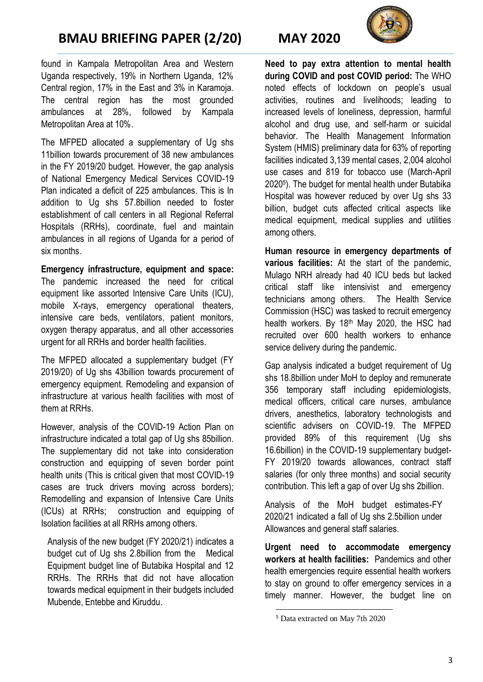found in Kampala Metropolitan Area and Western Uganda respectively, 19% in Northern Uganda, 12% Central region, 17% in the East and 3% in Karamoja. The central region has the most grounded ambulances at 28%, followed by Kampala Metropolitan Area at 10%.

The MFPED allocated a supplementary of Ug shs 11billion towards procurement of 38 new ambulances in the FY 2019/20 budget. However, the gap analysis of National Emergency Medical Services COVID-19 Plan indicated a deficit of 225 ambulances. This is In addition to Ug shs 57.8billion needed to foster establishment of call centers in all Regional Referral Hospitals (RRHs), coordinate, fuel and maintain ambulances in all regions of Uganda for a period of six months.

**Emergency infrastructure, equipment and space:** The pandemic increased the need for critical equipment like assorted Intensive Care Units (ICU), mobile X-rays, emergency operational theaters, intensive care beds, ventilators, patient monitors, oxygen therapy apparatus, and all other accessories urgent for all RRHs and border health facilities.

The MFPED allocated a supplementary budget (FY 2019/20) of Ug shs 43billion towards procurement of emergency equipment. Remodeling and expansion of infrastructure at various health facilities with most of them at RRHs.

However, analysis of the COVID-19 Action Plan on infrastructure indicated a total gap of Ug shs 85billion. The supplementary did not take into consideration construction and equipping of seven border point health units (This is critical given that most COVID-19 cases are truck drivers moving across borders); Remodelling and expansion of Intensive Care Units (ICUs) at RRHs; construction and equipping of Isolation facilities at all RRHs among others.

Analysis of the new budget (FY 2020/21) indicates a budget cut of Ug shs 2.8billion from the Medical Equipment budget line of Butabika Hospital and 12 RRHs. The RRHs that did not have allocation towards medical equipment in their budgets included Mubende, Entebbe and Kiruddu.



**Need to pay extra attention to mental health during COVID and post COVID period:** The WHO noted effects of lockdown on people's usual activities, routines and livelihoods; leading to increased levels of loneliness, depression, harmful alcohol and drug use, and self-harm or suicidal behavior. The Health Management Information System (HMIS) preliminary data for 63% of reporting facilities indicated 3,139 mental cases, 2,004 alcohol use cases and 819 for tobacco use (March-April 2020<sup>5</sup> ). The budget for mental health under Butabika Hospital was however reduced by over Ug shs 33 billion, budget cuts affected critical aspects like medical equipment, medical supplies and utilities among others.

**Human resource in emergency departments of various facilities:** At the start of the pandemic, Mulago NRH already had 40 ICU beds but lacked critical staff like intensivist and emergency technicians among others. The Health Service Commission (HSC) was tasked to recruit emergency health workers. By 18th May 2020, the HSC had recruited over 600 health workers to enhance service delivery during the pandemic.

Gap analysis indicated a budget requirement of Ug shs 18.8billion under MoH to deploy and remunerate 356 temporary staff including epidemiologists, medical officers, critical care nurses, ambulance drivers, anesthetics, laboratory technologists and scientific advisers on COVID-19. The MFPED provided 89% of this requirement (Ug shs 16.6billion) in the COVID-19 supplementary budget-FY 2019/20 towards allowances, contract staff salaries (for only three months) and social security contribution. This left a gap of over Ug shs 2billion.

Analysis of the MoH budget estimates-FY 2020/21 indicated a fall of Ug shs 2.5billion under Allowances and general staff salaries.

**Urgent need to accommodate emergency workers at health facilities:** Pandemics and other health emergencies require essential health workers to stay on ground to offer emergency services in a timely manner. However, the budget line on

**.** 

<sup>5</sup> Data extracted on May 7th 2020